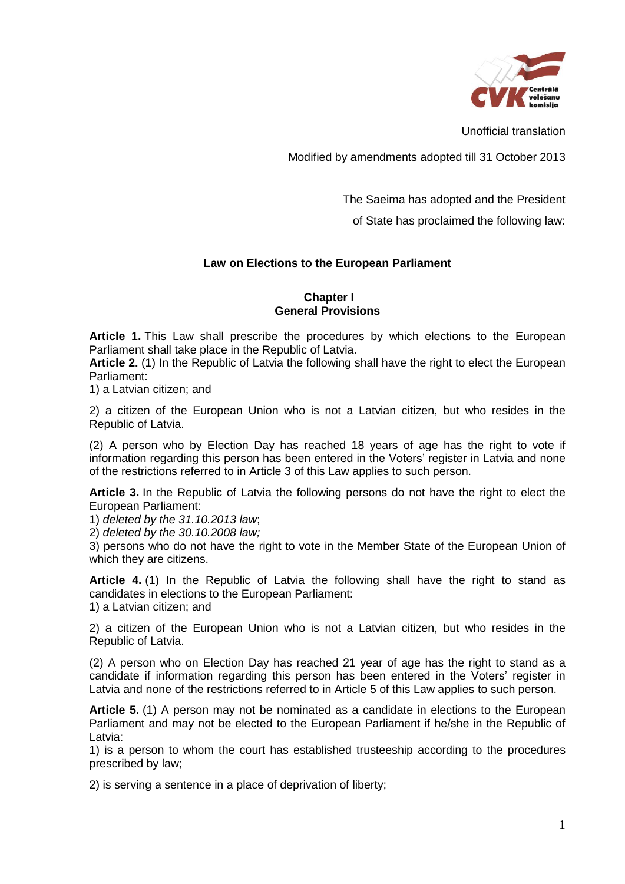

Unofficial translation

Modified by amendments adopted till 31 October 2013

The Saeima has adopted and the President

of State has proclaimed the following law:

# **Law on Elections to the European Parliament**

## **Chapter I General Provisions**

**Article 1.** This Law shall prescribe the procedures by which elections to the European Parliament shall take place in the Republic of Latvia.

**Article 2.** (1) In the Republic of Latvia the following shall have the right to elect the European Parliament:

1) a Latvian citizen; and

2) a citizen of the European Union who is not a Latvian citizen, but who resides in the Republic of Latvia.

(2) A person who by Election Day has reached 18 years of age has the right to vote if information regarding this person has been entered in the Voters' register in Latvia and none of the restrictions referred to in Article 3 of this Law applies to such person.

**Article 3.** In the Republic of Latvia the following persons do not have the right to elect the European Parliament:

1) *deleted by the 31.10.2013 law*;

2) *deleted by the 30.10.2008 law;*

3) persons who do not have the right to vote in the Member State of the European Union of which they are citizens.

**Article 4.** (1) In the Republic of Latvia the following shall have the right to stand as candidates in elections to the European Parliament: 1) a Latvian citizen; and

2) a citizen of the European Union who is not a Latvian citizen, but who resides in the Republic of Latvia.

(2) A person who on Election Day has reached 21 year of age has the right to stand as a candidate if information regarding this person has been entered in the Voters' register in Latvia and none of the restrictions referred to in Article 5 of this Law applies to such person.

**Article 5.** (1) A person may not be nominated as a candidate in elections to the European Parliament and may not be elected to the European Parliament if he/she in the Republic of Latvia:

1) is a person to whom the court has established trusteeship according to the procedures prescribed by law;

2) is serving a sentence in a place of deprivation of liberty;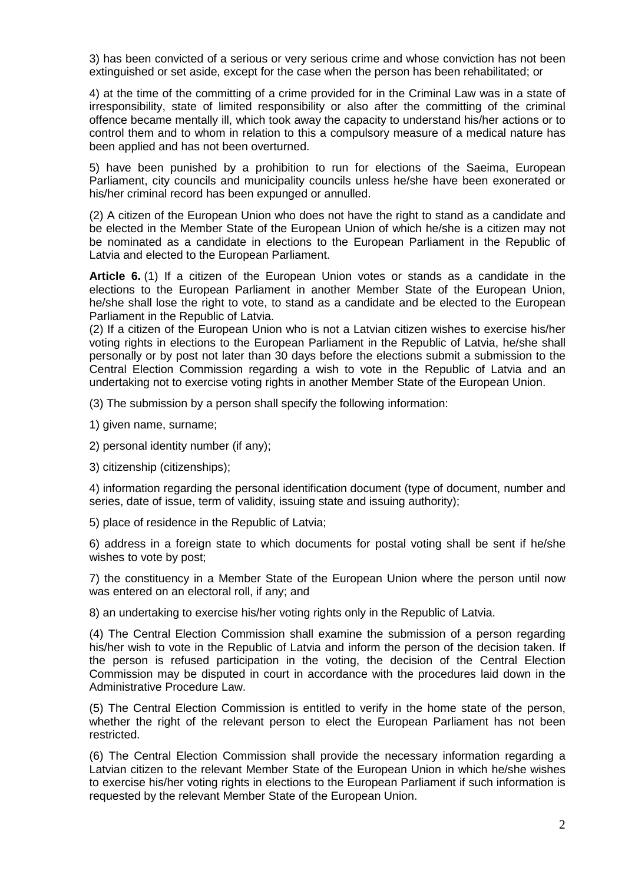3) has been convicted of a serious or very serious crime and whose conviction has not been extinguished or set aside, except for the case when the person has been rehabilitated; or

4) at the time of the committing of a crime provided for in the Criminal Law was in a state of irresponsibility, state of limited responsibility or also after the committing of the criminal offence became mentally ill, which took away the capacity to understand his/her actions or to control them and to whom in relation to this a compulsory measure of a medical nature has been applied and has not been overturned.

5) have been punished by a prohibition to run for elections of the Saeima, European Parliament, city councils and municipality councils unless he/she have been exonerated or his/her criminal record has been expunged or annulled.

(2) A citizen of the European Union who does not have the right to stand as a candidate and be elected in the Member State of the European Union of which he/she is a citizen may not be nominated as a candidate in elections to the European Parliament in the Republic of Latvia and elected to the European Parliament.

**Article 6.** (1) If a citizen of the European Union votes or stands as a candidate in the elections to the European Parliament in another Member State of the European Union, he/she shall lose the right to vote, to stand as a candidate and be elected to the European Parliament in the Republic of Latvia.

(2) If a citizen of the European Union who is not a Latvian citizen wishes to exercise his/her voting rights in elections to the European Parliament in the Republic of Latvia, he/she shall personally or by post not later than 30 days before the elections submit a submission to the Central Election Commission regarding a wish to vote in the Republic of Latvia and an undertaking not to exercise voting rights in another Member State of the European Union.

(3) The submission by a person shall specify the following information:

1) given name, surname;

2) personal identity number (if any);

3) citizenship (citizenships);

4) information regarding the personal identification document (type of document, number and series, date of issue, term of validity, issuing state and issuing authority);

5) place of residence in the Republic of Latvia;

6) address in a foreign state to which documents for postal voting shall be sent if he/she wishes to vote by post;

7) the constituency in a Member State of the European Union where the person until now was entered on an electoral roll, if any; and

8) an undertaking to exercise his/her voting rights only in the Republic of Latvia.

(4) The Central Election Commission shall examine the submission of a person regarding his/her wish to vote in the Republic of Latvia and inform the person of the decision taken. If the person is refused participation in the voting, the decision of the Central Election Commission may be disputed in court in accordance with the procedures laid down in the Administrative Procedure Law.

(5) The Central Election Commission is entitled to verify in the home state of the person, whether the right of the relevant person to elect the European Parliament has not been restricted.

(6) The Central Election Commission shall provide the necessary information regarding a Latvian citizen to the relevant Member State of the European Union in which he/she wishes to exercise his/her voting rights in elections to the European Parliament if such information is requested by the relevant Member State of the European Union.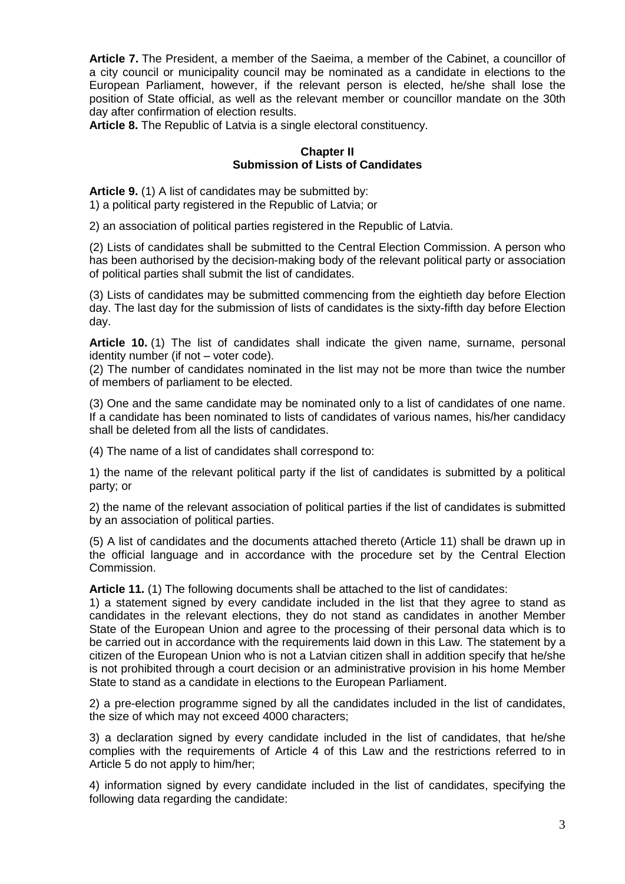**Article 7.** The President, a member of the Saeima, a member of the Cabinet, a councillor of a city council or municipality council may be nominated as a candidate in elections to the European Parliament, however, if the relevant person is elected, he/she shall lose the position of State official, as well as the relevant member or councillor mandate on the 30th day after confirmation of election results.

**Article 8.** The Republic of Latvia is a single electoral constituency.

# **Chapter II Submission of Lists of Candidates**

**Article 9.** (1) A list of candidates may be submitted by: 1) a political party registered in the Republic of Latvia; or

2) an association of political parties registered in the Republic of Latvia.

(2) Lists of candidates shall be submitted to the Central Election Commission. A person who has been authorised by the decision-making body of the relevant political party or association of political parties shall submit the list of candidates.

(3) Lists of candidates may be submitted commencing from the eightieth day before Election day. The last day for the submission of lists of candidates is the sixty-fifth day before Election day.

**Article 10.** (1) The list of candidates shall indicate the given name, surname, personal identity number (if not – voter code).

(2) The number of candidates nominated in the list may not be more than twice the number of members of parliament to be elected.

(3) One and the same candidate may be nominated only to a list of candidates of one name. If a candidate has been nominated to lists of candidates of various names, his/her candidacy shall be deleted from all the lists of candidates.

(4) The name of a list of candidates shall correspond to:

1) the name of the relevant political party if the list of candidates is submitted by a political party; or

2) the name of the relevant association of political parties if the list of candidates is submitted by an association of political parties.

(5) A list of candidates and the documents attached thereto (Article 11) shall be drawn up in the official language and in accordance with the procedure set by the Central Election Commission.

**Article 11.** (1) The following documents shall be attached to the list of candidates:

1) a statement signed by every candidate included in the list that they agree to stand as candidates in the relevant elections, they do not stand as candidates in another Member State of the European Union and agree to the processing of their personal data which is to be carried out in accordance with the requirements laid down in this Law. The statement by a citizen of the European Union who is not a Latvian citizen shall in addition specify that he/she is not prohibited through a court decision or an administrative provision in his home Member State to stand as a candidate in elections to the European Parliament.

2) a pre-election programme signed by all the candidates included in the list of candidates, the size of which may not exceed 4000 characters;

3) a declaration signed by every candidate included in the list of candidates, that he/she complies with the requirements of Article 4 of this Law and the restrictions referred to in Article 5 do not apply to him/her;

4) information signed by every candidate included in the list of candidates, specifying the following data regarding the candidate: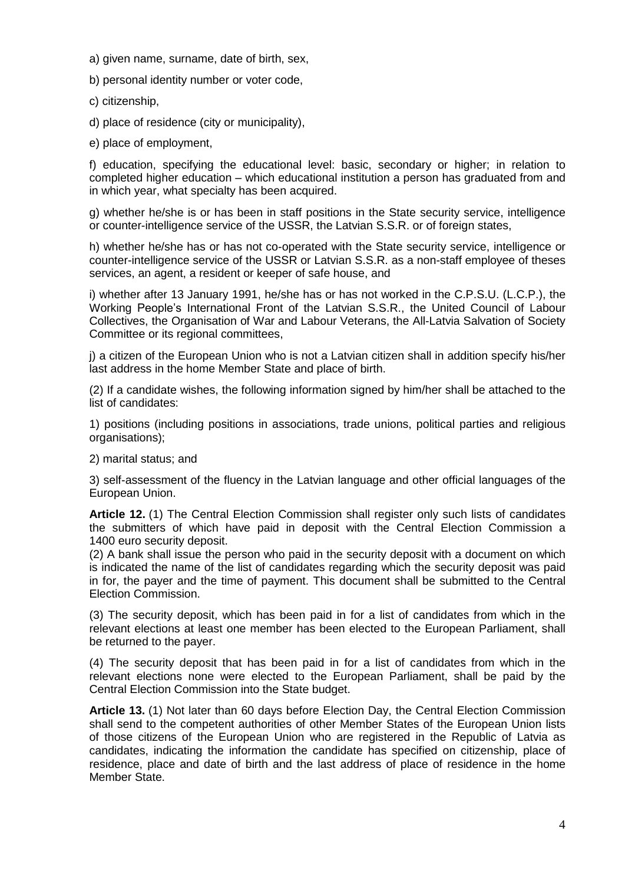- a) given name, surname, date of birth, sex,
- b) personal identity number or voter code,
- c) citizenship,

d) place of residence (city or municipality),

e) place of employment,

f) education, specifying the educational level: basic, secondary or higher; in relation to completed higher education – which educational institution a person has graduated from and in which year, what specialty has been acquired.

g) whether he/she is or has been in staff positions in the State security service, intelligence or counter-intelligence service of the USSR, the Latvian S.S.R. or of foreign states,

h) whether he/she has or has not co-operated with the State security service, intelligence or counter-intelligence service of the USSR or Latvian S.S.R. as a non-staff employee of theses services, an agent, a resident or keeper of safe house, and

i) whether after 13 January 1991, he/she has or has not worked in the C.P.S.U. (L.C.P.), the Working People's International Front of the Latvian S.S.R., the United Council of Labour Collectives, the Organisation of War and Labour Veterans, the All-Latvia Salvation of Society Committee or its regional committees,

j) a citizen of the European Union who is not a Latvian citizen shall in addition specify his/her last address in the home Member State and place of birth.

(2) If a candidate wishes, the following information signed by him/her shall be attached to the list of candidates:

1) positions (including positions in associations, trade unions, political parties and religious organisations);

2) marital status; and

3) self-assessment of the fluency in the Latvian language and other official languages of the European Union.

**Article 12.** (1) The Central Election Commission shall register only such lists of candidates the submitters of which have paid in deposit with the Central Election Commission a 1400 euro security deposit.

(2) A bank shall issue the person who paid in the security deposit with a document on which is indicated the name of the list of candidates regarding which the security deposit was paid in for, the payer and the time of payment. This document shall be submitted to the Central Election Commission.

(3) The security deposit, which has been paid in for a list of candidates from which in the relevant elections at least one member has been elected to the European Parliament, shall be returned to the payer.

(4) The security deposit that has been paid in for a list of candidates from which in the relevant elections none were elected to the European Parliament, shall be paid by the Central Election Commission into the State budget.

**Article 13.** (1) Not later than 60 days before Election Day, the Central Election Commission shall send to the competent authorities of other Member States of the European Union lists of those citizens of the European Union who are registered in the Republic of Latvia as candidates, indicating the information the candidate has specified on citizenship, place of residence, place and date of birth and the last address of place of residence in the home Member State.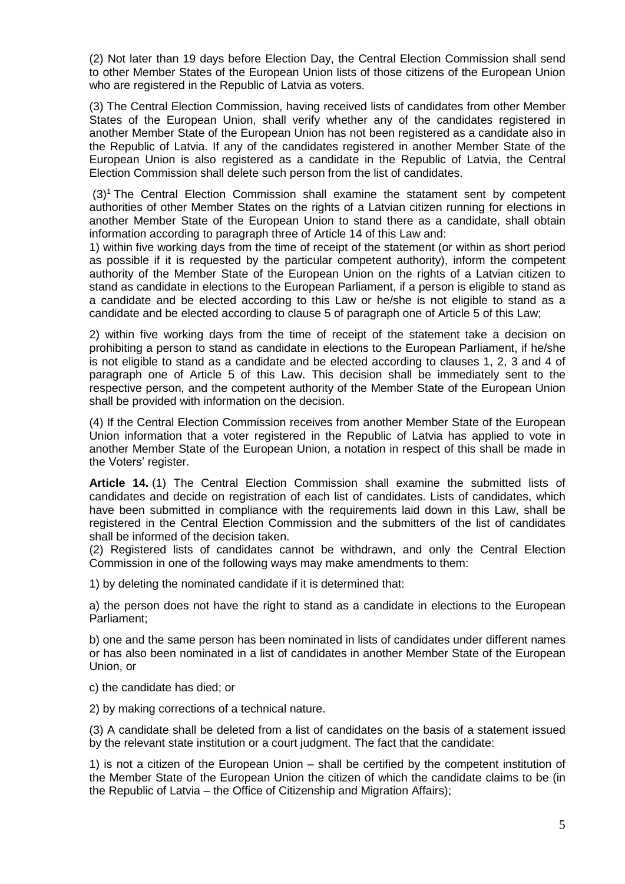(2) Not later than 19 days before Election Day, the Central Election Commission shall send to other Member States of the European Union lists of those citizens of the European Union who are registered in the Republic of Latvia as voters.

(3) The Central Election Commission, having received lists of candidates from other Member States of the European Union, shall verify whether any of the candidates registered in another Member State of the European Union has not been registered as a candidate also in the Republic of Latvia. If any of the candidates registered in another Member State of the European Union is also registered as a candidate in the Republic of Latvia, the Central Election Commission shall delete such person from the list of candidates.

(3)<sup>1</sup> The Central Election Commission shall examine the statament sent by competent authorities of other Member States on the rights of a Latvian citizen running for elections in another Member State of the European Union to stand there as a candidate, shall obtain information according to paragraph three of Article 14 of this Law and:

1) within five working days from the time of receipt of the statement (or within as short period as possible if it is requested by the particular competent authority), inform the competent authority of the Member State of the European Union on the rights of a Latvian citizen to stand as candidate in elections to the European Parliament, if a person is eligible to stand as a candidate and be elected according to this Law or he/she is not eligible to stand as a candidate and be elected according to clause 5 of paragraph one of Article 5 of this Law;

2) within five working days from the time of receipt of the statement take a decision on prohibiting a person to stand as candidate in elections to the European Parliament, if he/she is not eligible to stand as a candidate and be elected according to clauses 1, 2, 3 and 4 of paragraph one of Article 5 of this Law. This decision shall be immediately sent to the respective person, and the competent authority of the Member State of the European Union shall be provided with information on the decision.

(4) If the Central Election Commission receives from another Member State of the European Union information that a voter registered in the Republic of Latvia has applied to vote in another Member State of the European Union, a notation in respect of this shall be made in the Voters' register.

**Article 14.** (1) The Central Election Commission shall examine the submitted lists of candidates and decide on registration of each list of candidates. Lists of candidates, which have been submitted in compliance with the requirements laid down in this Law, shall be registered in the Central Election Commission and the submitters of the list of candidates shall be informed of the decision taken.

(2) Registered lists of candidates cannot be withdrawn, and only the Central Election Commission in one of the following ways may make amendments to them:

1) by deleting the nominated candidate if it is determined that:

a) the person does not have the right to stand as a candidate in elections to the European Parliament;

b) one and the same person has been nominated in lists of candidates under different names or has also been nominated in a list of candidates in another Member State of the European Union, or

c) the candidate has died; or

2) by making corrections of a technical nature.

(3) A candidate shall be deleted from a list of candidates on the basis of a statement issued by the relevant state institution or a court judgment. The fact that the candidate:

1) is not a citizen of the European Union – shall be certified by the competent institution of the Member State of the European Union the citizen of which the candidate claims to be (in the Republic of Latvia – the Office of Citizenship and Migration Affairs);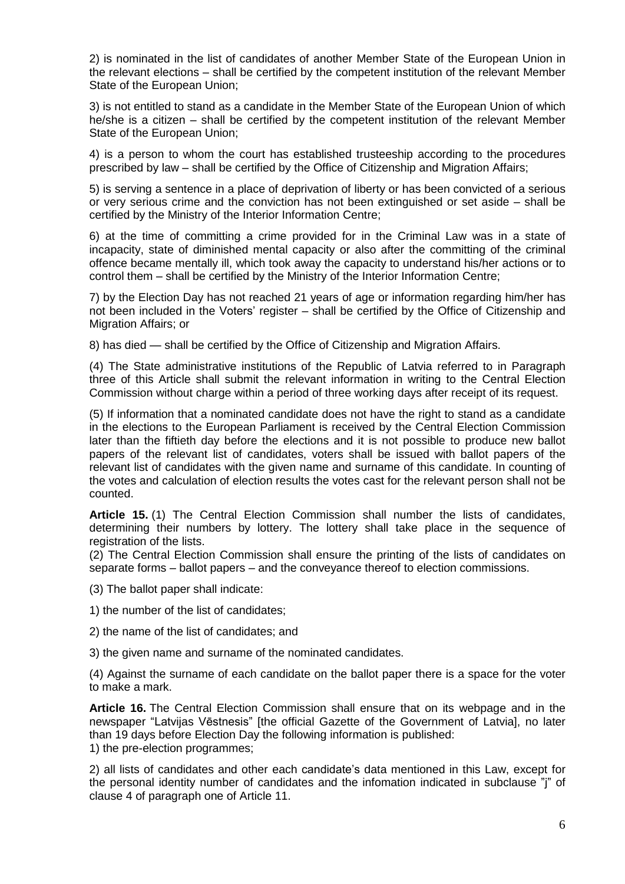2) is nominated in the list of candidates of another Member State of the European Union in the relevant elections – shall be certified by the competent institution of the relevant Member State of the European Union;

3) is not entitled to stand as a candidate in the Member State of the European Union of which he/she is a citizen – shall be certified by the competent institution of the relevant Member State of the European Union;

4) is a person to whom the court has established trusteeship according to the procedures prescribed by law – shall be certified by the Office of Citizenship and Migration Affairs;

5) is serving a sentence in a place of deprivation of liberty or has been convicted of a serious or very serious crime and the conviction has not been extinguished or set aside – shall be certified by the Ministry of the Interior Information Centre;

6) at the time of committing a crime provided for in the Criminal Law was in a state of incapacity, state of diminished mental capacity or also after the committing of the criminal offence became mentally ill, which took away the capacity to understand his/her actions or to control them – shall be certified by the Ministry of the Interior Information Centre;

7) by the Election Day has not reached 21 years of age or information regarding him/her has not been included in the Voters' register – shall be certified by the Office of Citizenship and Migration Affairs; or

8) has died — shall be certified by the Office of Citizenship and Migration Affairs.

(4) The State administrative institutions of the Republic of Latvia referred to in Paragraph three of this Article shall submit the relevant information in writing to the Central Election Commission without charge within a period of three working days after receipt of its request.

(5) If information that a nominated candidate does not have the right to stand as a candidate in the elections to the European Parliament is received by the Central Election Commission later than the fiftieth day before the elections and it is not possible to produce new ballot papers of the relevant list of candidates, voters shall be issued with ballot papers of the relevant list of candidates with the given name and surname of this candidate. In counting of the votes and calculation of election results the votes cast for the relevant person shall not be counted.

**Article 15.** (1) The Central Election Commission shall number the lists of candidates, determining their numbers by lottery. The lottery shall take place in the sequence of registration of the lists.

(2) The Central Election Commission shall ensure the printing of the lists of candidates on separate forms – ballot papers – and the conveyance thereof to election commissions.

(3) The ballot paper shall indicate:

1) the number of the list of candidates;

2) the name of the list of candidates; and

3) the given name and surname of the nominated candidates.

(4) Against the surname of each candidate on the ballot paper there is a space for the voter to make a mark.

**Article 16.** The Central Election Commission shall ensure that on its webpage and in the newspaper "Latvijas Vēstnesis" [the official Gazette of the Government of Latvia], no later than 19 days before Election Day the following information is published: 1) the pre-election programmes;

2) all lists of candidates and other each candidate's data mentioned in this Law, except for the personal identity number of candidates and the infomation indicated in subclause "j" of clause 4 of paragraph one of Article 11.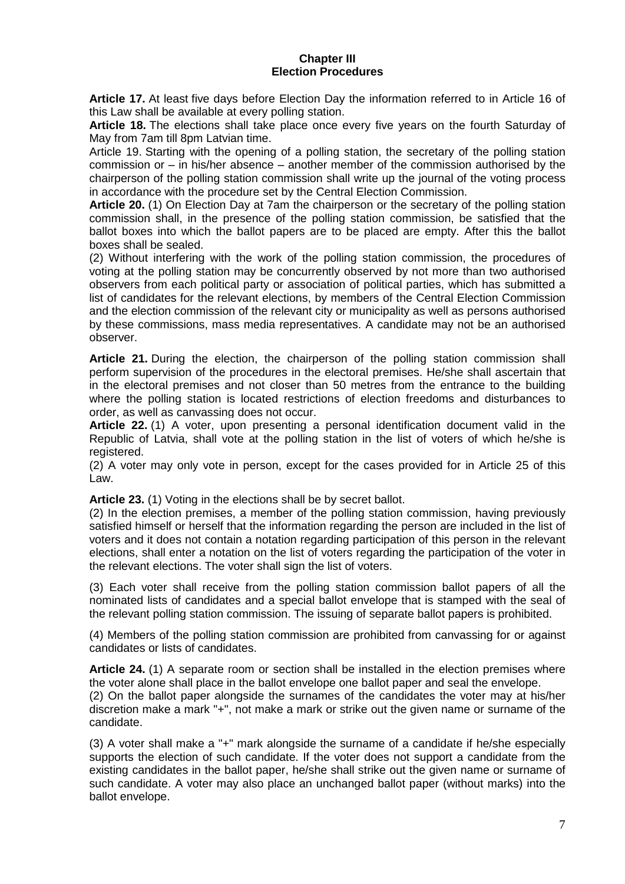#### **Chapter III Election Procedures**

**Article 17.** At least five days before Election Day the information referred to in Article 16 of this Law shall be available at every polling station.

**Article 18.** The elections shall take place once every five years on the fourth Saturday of May from 7am till 8pm Latvian time.

Article 19. Starting with the opening of a polling station, the secretary of the polling station commission or – in his/her absence – another member of the commission authorised by the chairperson of the polling station commission shall write up the journal of the voting process in accordance with the procedure set by the Central Election Commission.

**Article 20.** (1) On Election Day at 7am the chairperson or the secretary of the polling station commission shall, in the presence of the polling station commission, be satisfied that the ballot boxes into which the ballot papers are to be placed are empty. After this the ballot boxes shall be sealed.

(2) Without interfering with the work of the polling station commission, the procedures of voting at the polling station may be concurrently observed by not more than two authorised observers from each political party or association of political parties, which has submitted a list of candidates for the relevant elections, by members of the Central Election Commission and the election commission of the relevant city or municipality as well as persons authorised by these commissions, mass media representatives. A candidate may not be an authorised observer.

**Article 21.** During the election, the chairperson of the polling station commission shall perform supervision of the procedures in the electoral premises. He/she shall ascertain that in the electoral premises and not closer than 50 metres from the entrance to the building where the polling station is located restrictions of election freedoms and disturbances to order, as well as canvassing does not occur.

**Article 22.** (1) A voter, upon presenting a personal identification document valid in the Republic of Latvia, shall vote at the polling station in the list of voters of which he/she is registered.

(2) A voter may only vote in person, except for the cases provided for in Article 25 of this Law.

**Article 23.** (1) Voting in the elections shall be by secret ballot.

(2) In the election premises, a member of the polling station commission, having previously satisfied himself or herself that the information regarding the person are included in the list of voters and it does not contain a notation regarding participation of this person in the relevant elections, shall enter a notation on the list of voters regarding the participation of the voter in the relevant elections. The voter shall sign the list of voters.

(3) Each voter shall receive from the polling station commission ballot papers of all the nominated lists of candidates and a special ballot envelope that is stamped with the seal of the relevant polling station commission. The issuing of separate ballot papers is prohibited.

(4) Members of the polling station commission are prohibited from canvassing for or against candidates or lists of candidates.

**Article 24.** (1) A separate room or section shall be installed in the election premises where the voter alone shall place in the ballot envelope one ballot paper and seal the envelope. (2) On the ballot paper alongside the surnames of the candidates the voter may at his/her discretion make a mark "+", not make a mark or strike out the given name or surname of the candidate.

(3) A voter shall make a "+" mark alongside the surname of a candidate if he/she especially supports the election of such candidate. If the voter does not support a candidate from the existing candidates in the ballot paper, he/she shall strike out the given name or surname of such candidate. A voter may also place an unchanged ballot paper (without marks) into the ballot envelope.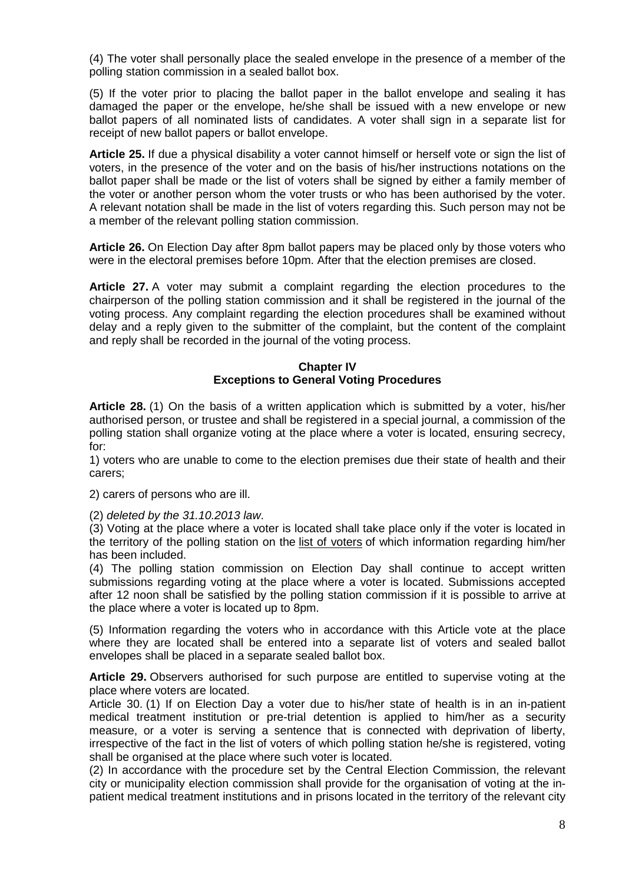(4) The voter shall personally place the sealed envelope in the presence of a member of the polling station commission in a sealed ballot box.

(5) If the voter prior to placing the ballot paper in the ballot envelope and sealing it has damaged the paper or the envelope, he/she shall be issued with a new envelope or new ballot papers of all nominated lists of candidates. A voter shall sign in a separate list for receipt of new ballot papers or ballot envelope.

**Article 25.** If due a physical disability a voter cannot himself or herself vote or sign the list of voters, in the presence of the voter and on the basis of his/her instructions notations on the ballot paper shall be made or the list of voters shall be signed by either a family member of the voter or another person whom the voter trusts or who has been authorised by the voter. A relevant notation shall be made in the list of voters regarding this. Such person may not be a member of the relevant polling station commission.

**Article 26.** On Election Day after 8pm ballot papers may be placed only by those voters who were in the electoral premises before 10pm. After that the election premises are closed.

**Article 27.** A voter may submit a complaint regarding the election procedures to the chairperson of the polling station commission and it shall be registered in the journal of the voting process. Any complaint regarding the election procedures shall be examined without delay and a reply given to the submitter of the complaint, but the content of the complaint and reply shall be recorded in the journal of the voting process.

## **Chapter IV Exceptions to General Voting Procedures**

**Article 28.** (1) On the basis of a written application which is submitted by a voter, his/her authorised person, or trustee and shall be registered in a special journal, a commission of the polling station shall organize voting at the place where a voter is located, ensuring secrecy, for:

1) voters who are unable to come to the election premises due their state of health and their carers;

2) carers of persons who are ill.

(2) *deleted by the 31.10.2013 law*.

(3) Voting at the place where a voter is located shall take place only if the voter is located in the territory of the polling station on the list of voters of which information regarding him/her has been included.

(4) The polling station commission on Election Day shall continue to accept written submissions regarding voting at the place where a voter is located. Submissions accepted after 12 noon shall be satisfied by the polling station commission if it is possible to arrive at the place where a voter is located up to 8pm.

(5) Information regarding the voters who in accordance with this Article vote at the place where they are located shall be entered into a separate list of voters and sealed ballot envelopes shall be placed in a separate sealed ballot box.

**Article 29.** Observers authorised for such purpose are entitled to supervise voting at the place where voters are located.

Article 30. (1) If on Election Day a voter due to his/her state of health is in an in-patient medical treatment institution or pre-trial detention is applied to him/her as a security measure, or a voter is serving a sentence that is connected with deprivation of liberty, irrespective of the fact in the list of voters of which polling station he/she is registered, voting shall be organised at the place where such voter is located.

(2) In accordance with the procedure set by the Central Election Commission, the relevant city or municipality election commission shall provide for the organisation of voting at the inpatient medical treatment institutions and in prisons located in the territory of the relevant city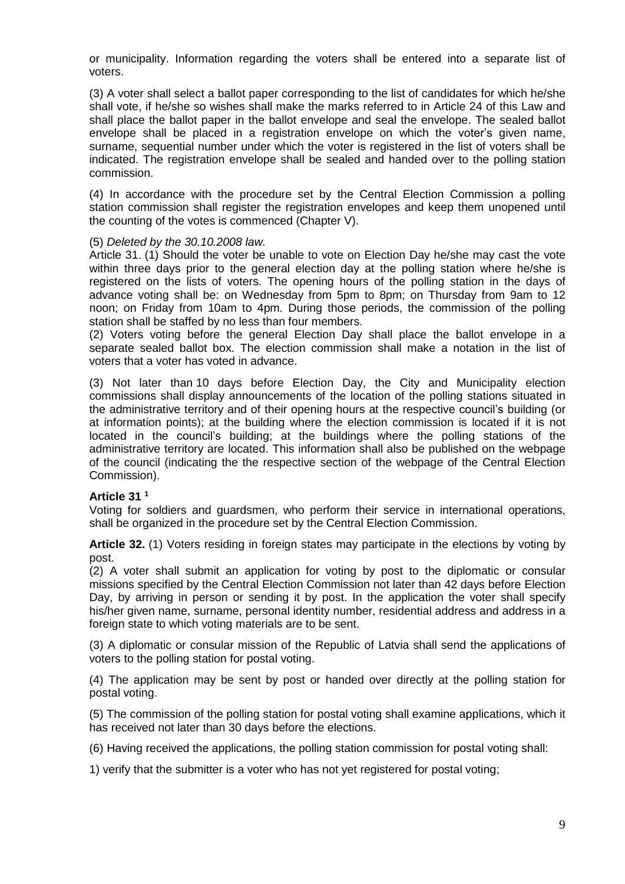or municipality. Information regarding the voters shall be entered into a separate list of voters.

(3) A voter shall select a ballot paper corresponding to the list of candidates for which he/she shall vote, if he/she so wishes shall make the marks referred to in Article 24 of this Law and shall place the ballot paper in the ballot envelope and seal the envelope. The sealed ballot envelope shall be placed in a registration envelope on which the voter's given name, surname, sequential number under which the voter is registered in the list of voters shall be indicated. The registration envelope shall be sealed and handed over to the polling station commission.

(4) In accordance with the procedure set by the Central Election Commission a polling station commission shall register the registration envelopes and keep them unopened until the counting of the votes is commenced (Chapter V).

## (5) *Deleted by the 30.10.2008 law.*

Article 31. (1) Should the voter be unable to vote on Election Day he/she may cast the vote within three days prior to the general election day at the polling station where he/she is registered on the lists of voters. The opening hours of the polling station in the days of advance voting shall be: on Wednesday from 5pm to 8pm; on Thursday from 9am to 12 noon; on Friday from 10am to 4pm. During those periods, the commission of the polling station shall be staffed by no less than four members.

(2) Voters voting before the general Election Day shall place the ballot envelope in a separate sealed ballot box. The election commission shall make a notation in the list of voters that a voter has voted in advance.

(3) Not later than 10 days before Election Day, the City and Municipality election commissions shall display announcements of the location of the polling stations situated in the administrative territory and of their opening hours at the respective council's building (or at information points); at the building where the election commission is located if it is not located in the council's building; at the buildings where the polling stations of the administrative territory are located. This information shall also be published on the webpage of the council (indicating the the respective section of the webpage of the Central Election Commission).

#### **Article 31 <sup>1</sup>**

Voting for soldiers and guardsmen, who perform their service in international operations, shall be organized in the procedure set by the Central Election Commission.

**Article 32.** (1) Voters residing in foreign states may participate in the elections by voting by post.

(2) A voter shall submit an application for voting by post to the diplomatic or consular missions specified by the Central Election Commission not later than 42 days before Election Day, by arriving in person or sending it by post. In the application the voter shall specify his/her given name, surname, personal identity number, residential address and address in a foreign state to which voting materials are to be sent.

(3) A diplomatic or consular mission of the Republic of Latvia shall send the applications of voters to the polling station for postal voting.

(4) The application may be sent by post or handed over directly at the polling station for postal voting.

(5) The commission of the polling station for postal voting shall examine applications, which it has received not later than 30 days before the elections.

(6) Having received the applications, the polling station commission for postal voting shall:

1) verify that the submitter is a voter who has not yet registered for postal voting;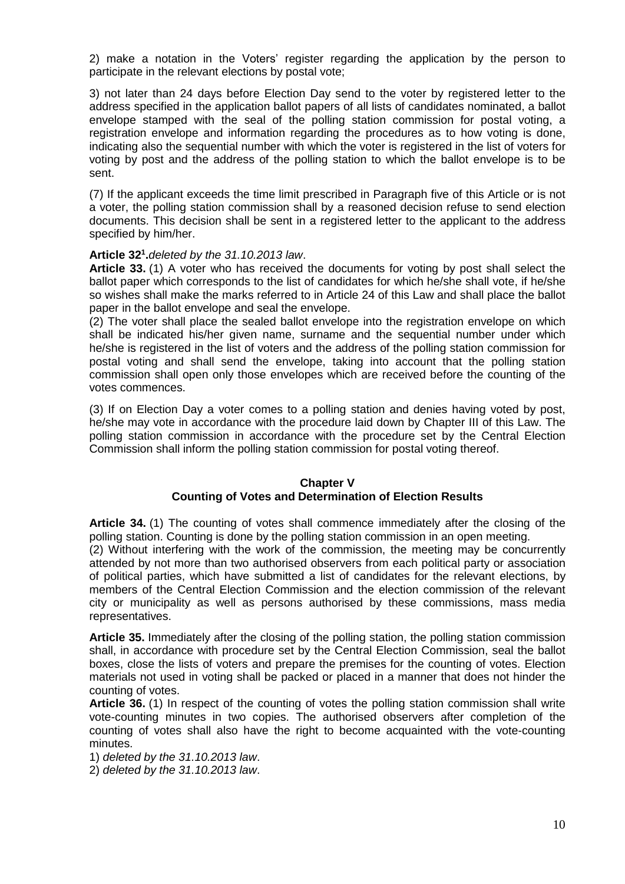2) make a notation in the Voters' register regarding the application by the person to participate in the relevant elections by postal vote;

3) not later than 24 days before Election Day send to the voter by registered letter to the address specified in the application ballot papers of all lists of candidates nominated, a ballot envelope stamped with the seal of the polling station commission for postal voting, a registration envelope and information regarding the procedures as to how voting is done, indicating also the sequential number with which the voter is registered in the list of voters for voting by post and the address of the polling station to which the ballot envelope is to be sent.

(7) If the applicant exceeds the time limit prescribed in Paragraph five of this Article or is not a voter, the polling station commission shall by a reasoned decision refuse to send election documents. This decision shall be sent in a registered letter to the applicant to the address specified by him/her.

## **Article 32 1 .***deleted by the 31.10.2013 law*.

**Article 33.** (1) A voter who has received the documents for voting by post shall select the ballot paper which corresponds to the list of candidates for which he/she shall vote, if he/she so wishes shall make the marks referred to in Article 24 of this Law and shall place the ballot paper in the ballot envelope and seal the envelope.

(2) The voter shall place the sealed ballot envelope into the registration envelope on which shall be indicated his/her given name, surname and the sequential number under which he/she is registered in the list of voters and the address of the polling station commission for postal voting and shall send the envelope, taking into account that the polling station commission shall open only those envelopes which are received before the counting of the votes commences.

(3) If on Election Day a voter comes to a polling station and denies having voted by post, he/she may vote in accordance with the procedure laid down by Chapter III of this Law. The polling station commission in accordance with the procedure set by the Central Election Commission shall inform the polling station commission for postal voting thereof.

## **Chapter V Counting of Votes and Determination of Election Results**

**Article 34.** (1) The counting of votes shall commence immediately after the closing of the polling station. Counting is done by the polling station commission in an open meeting.

(2) Without interfering with the work of the commission, the meeting may be concurrently attended by not more than two authorised observers from each political party or association of political parties, which have submitted a list of candidates for the relevant elections, by members of the Central Election Commission and the election commission of the relevant city or municipality as well as persons authorised by these commissions, mass media representatives.

**Article 35.** Immediately after the closing of the polling station, the polling station commission shall, in accordance with procedure set by the Central Election Commission, seal the ballot boxes, close the lists of voters and prepare the premises for the counting of votes. Election materials not used in voting shall be packed or placed in a manner that does not hinder the counting of votes.

**Article 36.** (1) In respect of the counting of votes the polling station commission shall write vote-counting minutes in two copies. The authorised observers after completion of the counting of votes shall also have the right to become acquainted with the vote-counting minutes.

1) *deleted by the 31.10.2013 law*.

2) *deleted by the 31.10.2013 law*.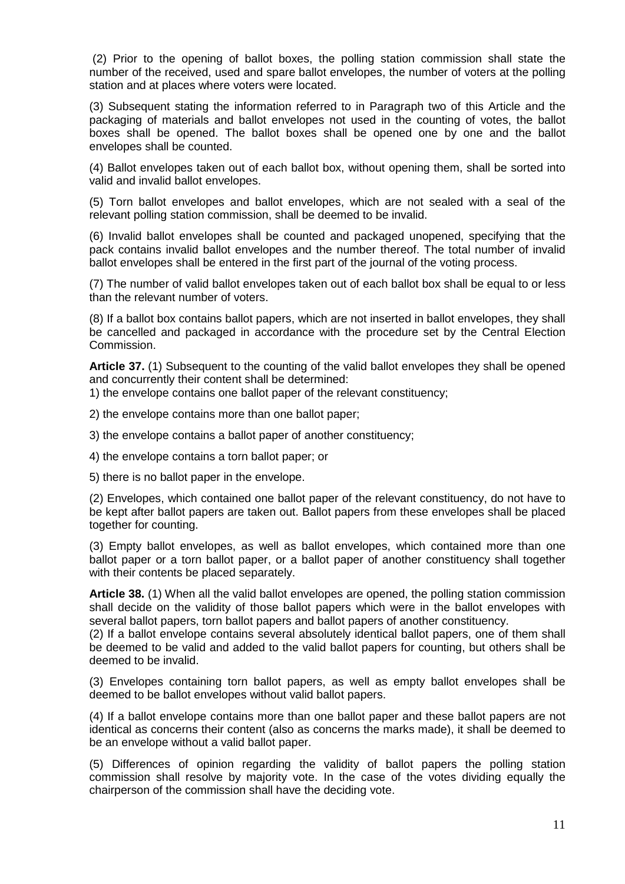(2) Prior to the opening of ballot boxes, the polling station commission shall state the number of the received, used and spare ballot envelopes, the number of voters at the polling station and at places where voters were located.

(3) Subsequent stating the information referred to in Paragraph two of this Article and the packaging of materials and ballot envelopes not used in the counting of votes, the ballot boxes shall be opened. The ballot boxes shall be opened one by one and the ballot envelopes shall be counted.

(4) Ballot envelopes taken out of each ballot box, without opening them, shall be sorted into valid and invalid ballot envelopes.

(5) Torn ballot envelopes and ballot envelopes, which are not sealed with a seal of the relevant polling station commission, shall be deemed to be invalid.

(6) Invalid ballot envelopes shall be counted and packaged unopened, specifying that the pack contains invalid ballot envelopes and the number thereof. The total number of invalid ballot envelopes shall be entered in the first part of the journal of the voting process.

(7) The number of valid ballot envelopes taken out of each ballot box shall be equal to or less than the relevant number of voters.

(8) If a ballot box contains ballot papers, which are not inserted in ballot envelopes, they shall be cancelled and packaged in accordance with the procedure set by the Central Election Commission.

**Article 37.** (1) Subsequent to the counting of the valid ballot envelopes they shall be opened and concurrently their content shall be determined:

1) the envelope contains one ballot paper of the relevant constituency;

2) the envelope contains more than one ballot paper;

3) the envelope contains a ballot paper of another constituency;

4) the envelope contains a torn ballot paper; or

5) there is no ballot paper in the envelope.

(2) Envelopes, which contained one ballot paper of the relevant constituency, do not have to be kept after ballot papers are taken out. Ballot papers from these envelopes shall be placed together for counting.

(3) Empty ballot envelopes, as well as ballot envelopes, which contained more than one ballot paper or a torn ballot paper, or a ballot paper of another constituency shall together with their contents be placed separately.

**Article 38.** (1) When all the valid ballot envelopes are opened, the polling station commission shall decide on the validity of those ballot papers which were in the ballot envelopes with several ballot papers, torn ballot papers and ballot papers of another constituency.

(2) If a ballot envelope contains several absolutely identical ballot papers, one of them shall be deemed to be valid and added to the valid ballot papers for counting, but others shall be deemed to be invalid.

(3) Envelopes containing torn ballot papers, as well as empty ballot envelopes shall be deemed to be ballot envelopes without valid ballot papers.

(4) If a ballot envelope contains more than one ballot paper and these ballot papers are not identical as concerns their content (also as concerns the marks made), it shall be deemed to be an envelope without a valid ballot paper.

(5) Differences of opinion regarding the validity of ballot papers the polling station commission shall resolve by majority vote. In the case of the votes dividing equally the chairperson of the commission shall have the deciding vote.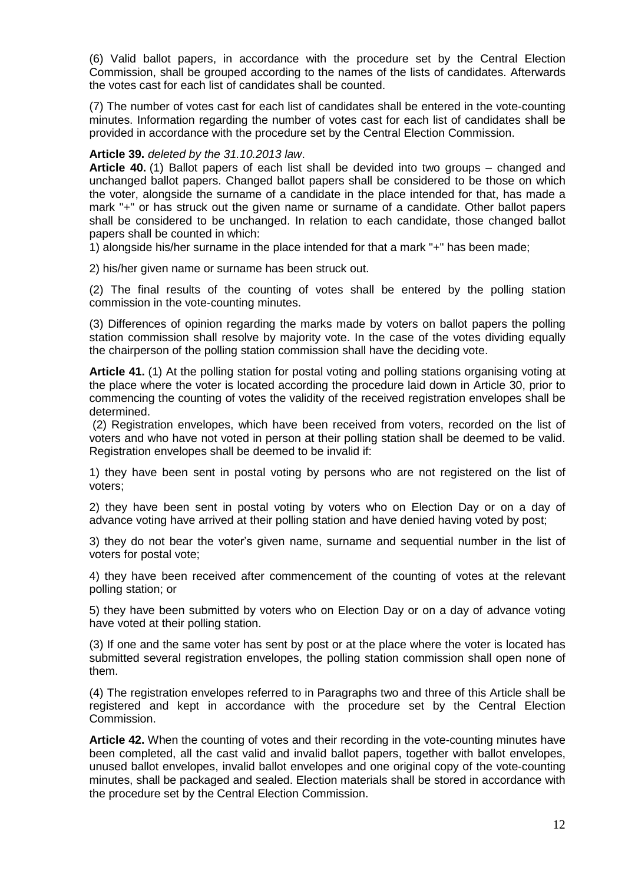(6) Valid ballot papers, in accordance with the procedure set by the Central Election Commission, shall be grouped according to the names of the lists of candidates. Afterwards the votes cast for each list of candidates shall be counted.

(7) The number of votes cast for each list of candidates shall be entered in the vote-counting minutes. Information regarding the number of votes cast for each list of candidates shall be provided in accordance with the procedure set by the Central Election Commission.

## **Article 39.** *deleted by the 31.10.2013 law*.

**Article 40.** (1) Ballot papers of each list shall be devided into two groups – changed and unchanged ballot papers. Changed ballot papers shall be considered to be those on which the voter, alongside the surname of a candidate in the place intended for that, has made a mark "+" or has struck out the given name or surname of a candidate. Other ballot papers shall be considered to be unchanged. In relation to each candidate, those changed ballot papers shall be counted in which:

1) alongside his/her surname in the place intended for that a mark "+" has been made;

2) his/her given name or surname has been struck out.

(2) The final results of the counting of votes shall be entered by the polling station commission in the vote-counting minutes.

(3) Differences of opinion regarding the marks made by voters on ballot papers the polling station commission shall resolve by majority vote. In the case of the votes dividing equally the chairperson of the polling station commission shall have the deciding vote.

**Article 41.** (1) At the polling station for postal voting and polling stations organising voting at the place where the voter is located according the procedure laid down in Article 30, prior to commencing the counting of votes the validity of the received registration envelopes shall be determined.

(2) Registration envelopes, which have been received from voters, recorded on the list of voters and who have not voted in person at their polling station shall be deemed to be valid. Registration envelopes shall be deemed to be invalid if:

1) they have been sent in postal voting by persons who are not registered on the list of voters;

2) they have been sent in postal voting by voters who on Election Day or on a day of advance voting have arrived at their polling station and have denied having voted by post;

3) they do not bear the voter's given name, surname and sequential number in the list of voters for postal vote;

4) they have been received after commencement of the counting of votes at the relevant polling station; or

5) they have been submitted by voters who on Election Day or on a day of advance voting have voted at their polling station.

(3) If one and the same voter has sent by post or at the place where the voter is located has submitted several registration envelopes, the polling station commission shall open none of them.

(4) The registration envelopes referred to in Paragraphs two and three of this Article shall be registered and kept in accordance with the procedure set by the Central Election Commission.

**Article 42.** When the counting of votes and their recording in the vote-counting minutes have been completed, all the cast valid and invalid ballot papers, together with ballot envelopes, unused ballot envelopes, invalid ballot envelopes and one original copy of the vote-counting minutes, shall be packaged and sealed. Election materials shall be stored in accordance with the procedure set by the Central Election Commission.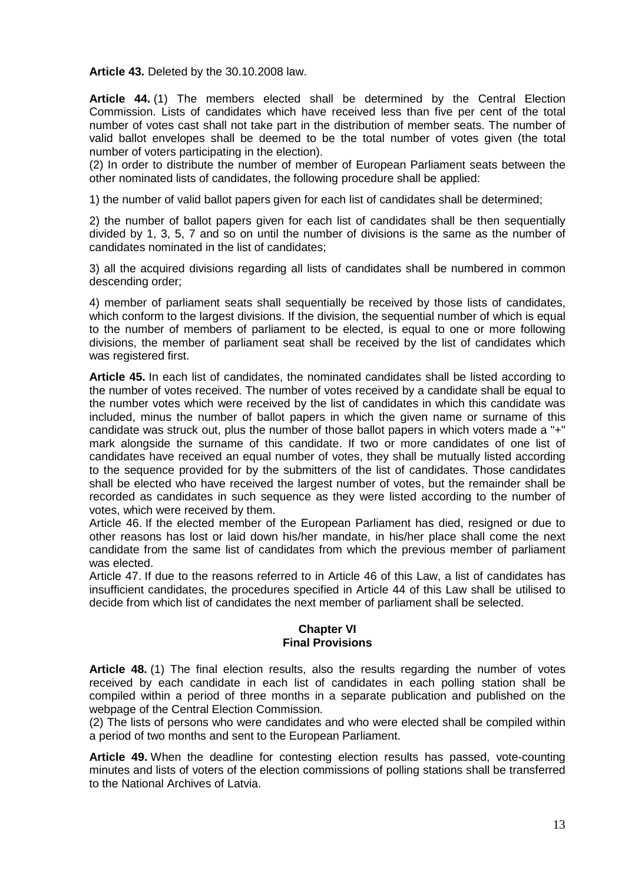**Article 43.** Deleted by the 30.10.2008 law.

**Article 44.** (1) The members elected shall be determined by the Central Election Commission. Lists of candidates which have received less than five per cent of the total number of votes cast shall not take part in the distribution of member seats. The number of valid ballot envelopes shall be deemed to be the total number of votes given (the total number of voters participating in the election).

(2) In order to distribute the number of member of European Parliament seats between the other nominated lists of candidates, the following procedure shall be applied:

1) the number of valid ballot papers given for each list of candidates shall be determined;

2) the number of ballot papers given for each list of candidates shall be then sequentially divided by 1, 3, 5, 7 and so on until the number of divisions is the same as the number of candidates nominated in the list of candidates;

3) all the acquired divisions regarding all lists of candidates shall be numbered in common descending order;

4) member of parliament seats shall sequentially be received by those lists of candidates, which conform to the largest divisions. If the division, the sequential number of which is equal to the number of members of parliament to be elected, is equal to one or more following divisions, the member of parliament seat shall be received by the list of candidates which was registered first.

**Article 45.** In each list of candidates, the nominated candidates shall be listed according to the number of votes received. The number of votes received by a candidate shall be equal to the number votes which were received by the list of candidates in which this candidate was included, minus the number of ballot papers in which the given name or surname of this candidate was struck out, plus the number of those ballot papers in which voters made a "+" mark alongside the surname of this candidate. If two or more candidates of one list of candidates have received an equal number of votes, they shall be mutually listed according to the sequence provided for by the submitters of the list of candidates. Those candidates shall be elected who have received the largest number of votes, but the remainder shall be recorded as candidates in such sequence as they were listed according to the number of votes, which were received by them.

Article 46. If the elected member of the European Parliament has died, resigned or due to other reasons has lost or laid down his/her mandate, in his/her place shall come the next candidate from the same list of candidates from which the previous member of parliament was elected.

Article 47. If due to the reasons referred to in Article 46 of this Law, a list of candidates has insufficient candidates, the procedures specified in Article 44 of this Law shall be utilised to decide from which list of candidates the next member of parliament shall be selected.

# **Chapter VI Final Provisions**

**Article 48.** (1) The final election results, also the results regarding the number of votes received by each candidate in each list of candidates in each polling station shall be compiled within a period of three months in a separate publication and published on the webpage of the Central Election Commission.

(2) The lists of persons who were candidates and who were elected shall be compiled within a period of two months and sent to the European Parliament.

**Article 49.** When the deadline for contesting election results has passed, vote-counting minutes and lists of voters of the election commissions of polling stations shall be transferred to the National Archives of Latvia.